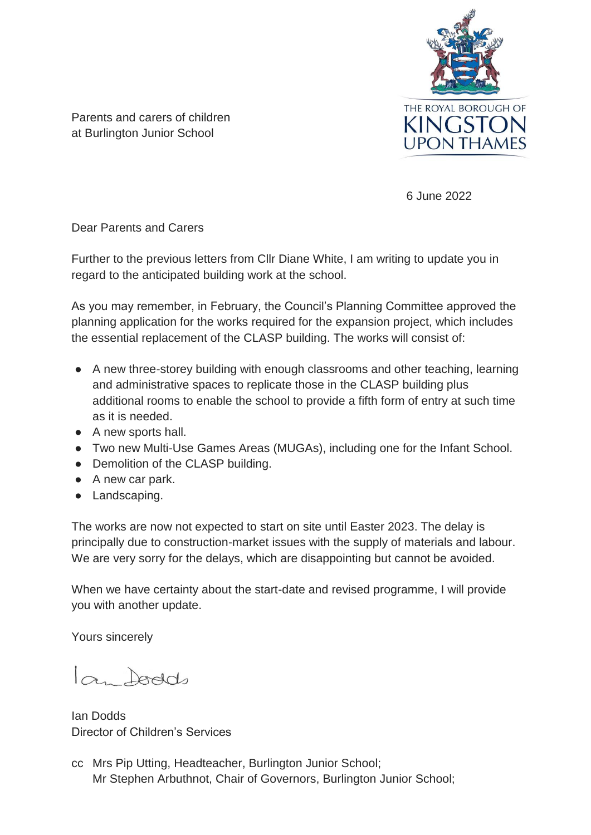

Parents and carers of children at Burlington Junior School

6 June 2022

Dear Parents and Carers

Further to the previous letters from Cllr Diane White, I am writing to update you in regard to the anticipated building work at the school.

As you may remember, in February, the Council's Planning Committee approved the planning application for the works required for the expansion project, which includes the essential replacement of the CLASP building. The works will consist of:

- A new three-storey building with enough classrooms and other teaching, learning and administrative spaces to replicate those in the CLASP building plus additional rooms to enable the school to provide a fifth form of entry at such time as it is needed.
- A new sports hall.
- Two new Multi-Use Games Areas (MUGAs), including one for the Infant School.
- Demolition of the CLASP building.
- A new car park.
- Landscaping.

The works are now not expected to start on site until Easter 2023. The delay is principally due to construction-market issues with the supply of materials and labour. We are very sorry for the delays, which are disappointing but cannot be avoided.

When we have certainty about the start-date and revised programme, I will provide you with another update.

Yours sincerely

la food

Ian Dodds Director of Children's Services

cc Mrs Pip Utting, Headteacher, Burlington Junior School; Mr Stephen Arbuthnot, Chair of Governors, Burlington Junior School;